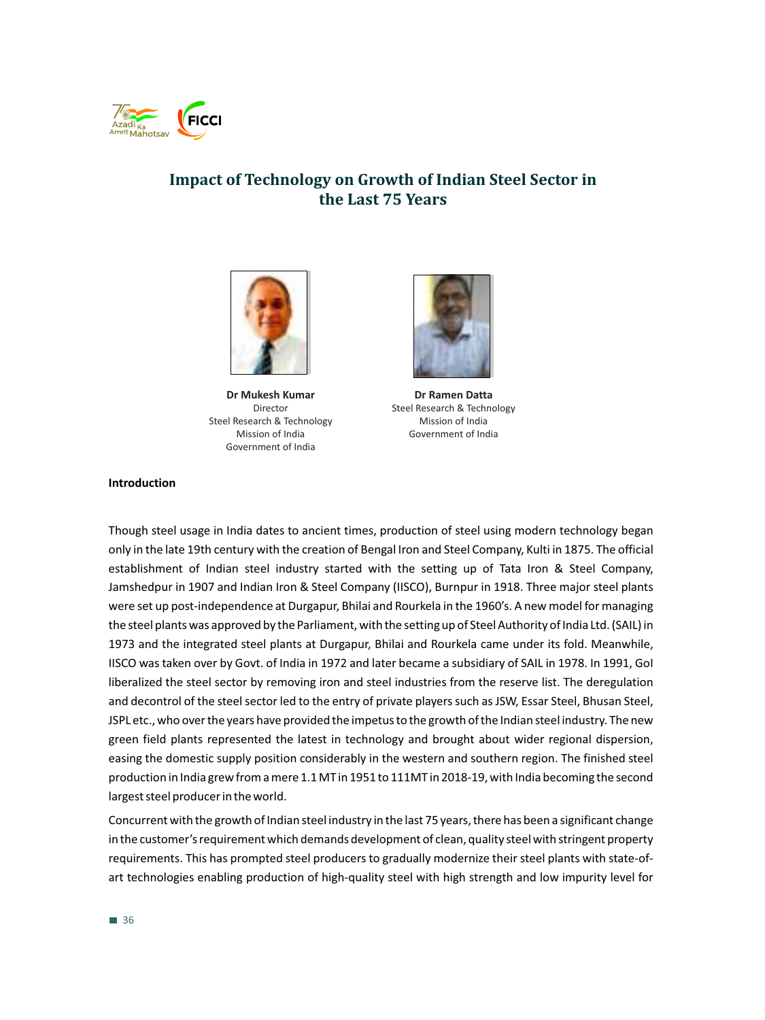

# **Impact of Technology on Growth of Indian Steel Sector in the Last 75 Years**



**Dr Mukesh Kumar** Director Steel Research & Technology Mission of India Government of India



**Dr Ramen Datta** Steel Research & Technology Mission of India Government of India

#### **Introduction**

Though steel usage in India dates to ancient times, production of steel using modern technology began only in the late 19th century with the creation of Bengal Iron and Steel Company, Kulti in 1875. The official establishment of Indian steel industry started with the setting up of Tata Iron & Steel Company, Jamshedpur in 1907 and Indian Iron & Steel Company (IISCO), Burnpur in 1918. Three major steel plants were set up post-independence at Durgapur, Bhilai and Rourkela in the 1960's. A new model for managing the steel plants was approved by the Parliament, with the setting up of Steel Authority of India Ltd. (SAIL) in 1973 and the integrated steel plants at Durgapur, Bhilai and Rourkela came under its fold. Meanwhile, IISCO was taken over by Govt. of India in 1972 and later became a subsidiary of SAIL in 1978. In 1991, GoI liberalized the steel sector by removing iron and steel industries from the reserve list. The deregulation and decontrol of the steel sector led to the entry of private players such as JSW, Essar Steel, Bhusan Steel, JSPL etc., who over the years have provided the impetus to the growth of the Indian steel industry. The new green field plants represented the latest in technology and brought about wider regional dispersion, easing the domestic supply position considerably in the western and southern region. The finished steel production in India grew from a mere 1.1 MT in 1951 to 111MT in 2018-19, with India becoming the second largest steel producer in the world.

Concurrent with the growth of Indian steel industry in the last 75 years, there has been a significant change in the customer's requirement which demands development of clean, quality steel with stringent property requirements. This has prompted steel producers to gradually modernize their steel plants with state-ofart technologies enabling production of high-quality steel with high strength and low impurity level for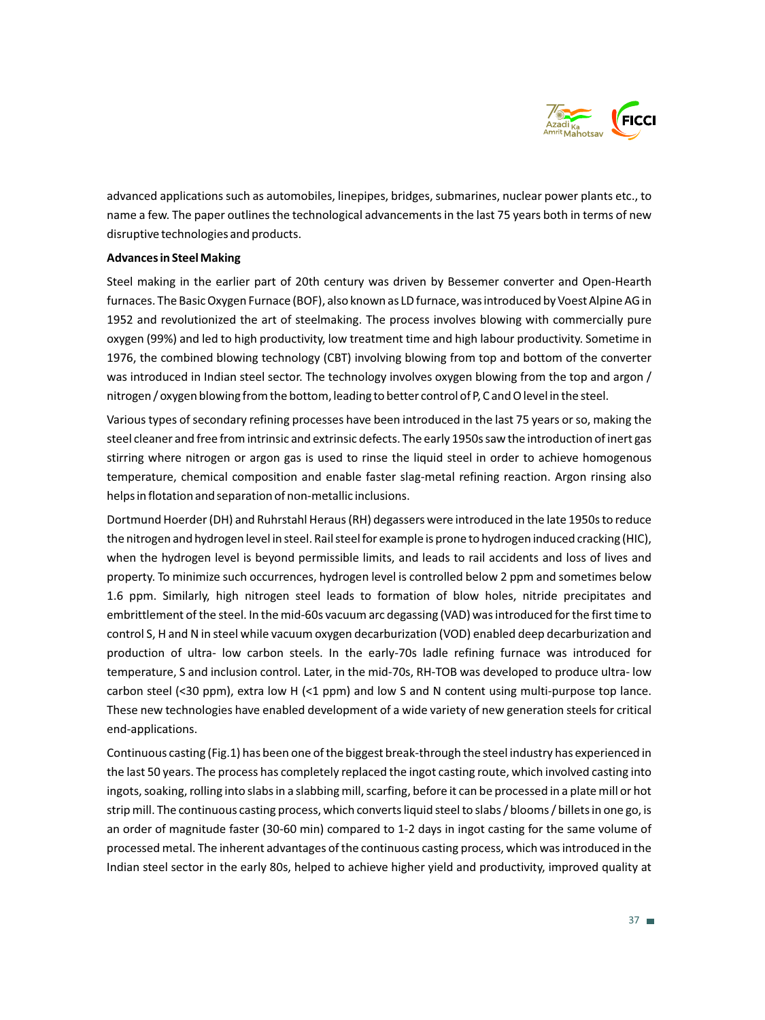

advanced applications such as automobiles, linepipes, bridges, submarines, nuclear power plants etc., to name a few. The paper outlines the technological advancements in the last 75 years both in terms of new disruptive technologies and products.

## **Advances in Steel Making**

Steel making in the earlier part of 20th century was driven by Bessemer converter and Open-Hearth furnaces. The Basic Oxygen Furnace (BOF), also known as LD furnace, was introduced by Voest Alpine AG in 1952 and revolutionized the art of steelmaking. The process involves blowing with commercially pure oxygen (99%) and led to high productivity, low treatment time and high labour productivity. Sometime in 1976, the combined blowing technology (CBT) involving blowing from top and bottom of the converter was introduced in Indian steel sector. The technology involves oxygen blowing from the top and argon / nitrogen / oxygen blowing from the bottom, leading to better control of P, C and O level in the steel.

Various types of secondary refining processes have been introduced in the last 75 years or so, making the steel cleaner and free from intrinsic and extrinsic defects. The early 1950s saw the introduction of inert gas stirring where nitrogen or argon gas is used to rinse the liquid steel in order to achieve homogenous temperature, chemical composition and enable faster slag-metal refining reaction. Argon rinsing also helps in flotation and separation of non-metallic inclusions.

Dortmund Hoerder (DH) and Ruhrstahl Heraus (RH) degassers were introduced in the late 1950s to reduce the nitrogen and hydrogen level in steel. Rail steel for example is prone to hydrogen induced cracking (HIC), when the hydrogen level is beyond permissible limits, and leads to rail accidents and loss of lives and property. To minimize such occurrences, hydrogen level is controlled below 2 ppm and sometimes below 1.6 ppm. Similarly, high nitrogen steel leads to formation of blow holes, nitride precipitates and embrittlement of the steel. In the mid-60s vacuum arc degassing (VAD) was introduced for the first time to control S, H and N in steel while vacuum oxygen decarburization (VOD) enabled deep decarburization and production of ultra- low carbon steels. In the early-70s ladle refining furnace was introduced for temperature, S and inclusion control. Later, in the mid-70s, RH-TOB was developed to produce ultra- low carbon steel (<30 ppm), extra low H (<1 ppm) and low S and N content using multi-purpose top lance. These new technologies have enabled development of a wide variety of new generation steels for critical end-applications.

Continuous casting (Fig.1) has been one of the biggest break-through the steel industry has experienced in the last 50 years. The process has completely replaced the ingot casting route, which involved casting into ingots, soaking, rolling into slabs in a slabbing mill, scarfing, before it can be processed in a plate mill or hot strip mill. The continuous casting process, which converts liquid steel to slabs / blooms / billets in one go, is an order of magnitude faster (30-60 min) compared to 1-2 days in ingot casting for the same volume of processed metal. The inherent advantages of the continuous casting process, which was introduced in the Indian steel sector in the early 80s, helped to achieve higher yield and productivity, improved quality at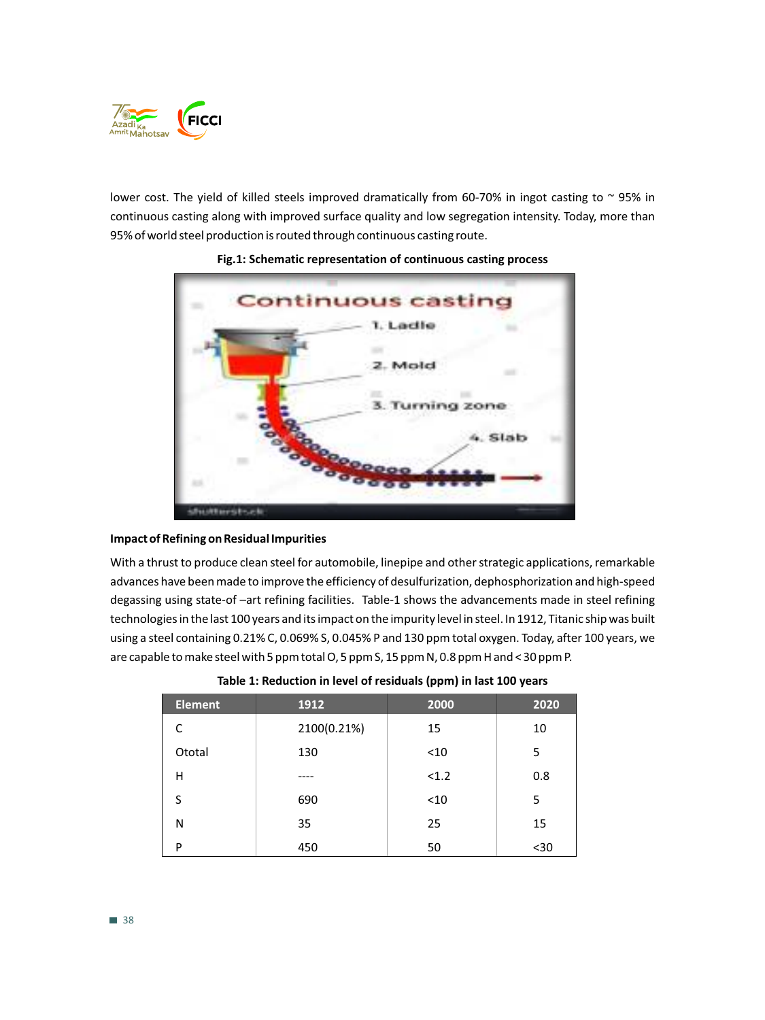

lower cost. The yield of killed steels improved dramatically from 60-70% in ingot casting to  $\sim$  95% in continuous casting along with improved surface quality and low segregation intensity. Today, more than 95% of world steel production is routed through continuous casting route.



# **Fig.1: Schematic representation of continuous casting process**

# **Impact of Refining on Residual Impurities**

With a thrust to produce clean steel for automobile, linepipe and other strategic applications, remarkable advances have been made to improve the efficiency of desulfurization, dephosphorization and high-speed degassing using state-of –art refining facilities. Table-1 shows the advancements made in steel refining technologies in the last 100 years and its impact on the impurity level in steel. In 1912, Titanic ship was built using a steel containing 0.21% C, 0.069% S, 0.045% P and 130 ppm total oxygen. Today, after 100 years, we are capable to make steel with 5 ppm total O, 5 ppm S, 15 ppm N, 0.8 ppm H and < 30 ppm P.

| <b>Element</b> | 1912        | 2000  | 2020 |
|----------------|-------------|-------|------|
| C              | 2100(0.21%) | 15    | 10   |
| Ototal         | 130         | $10$  | 5    |
| Η              |             | < 1.2 | 0.8  |
| S              | 690         | < 10  | 5    |
| N              | 35          | 25    | 15   |
| P              | 450         | 50    | $30$ |

# **Table 1: Reduction in level of residuals (ppm) in last 100 years**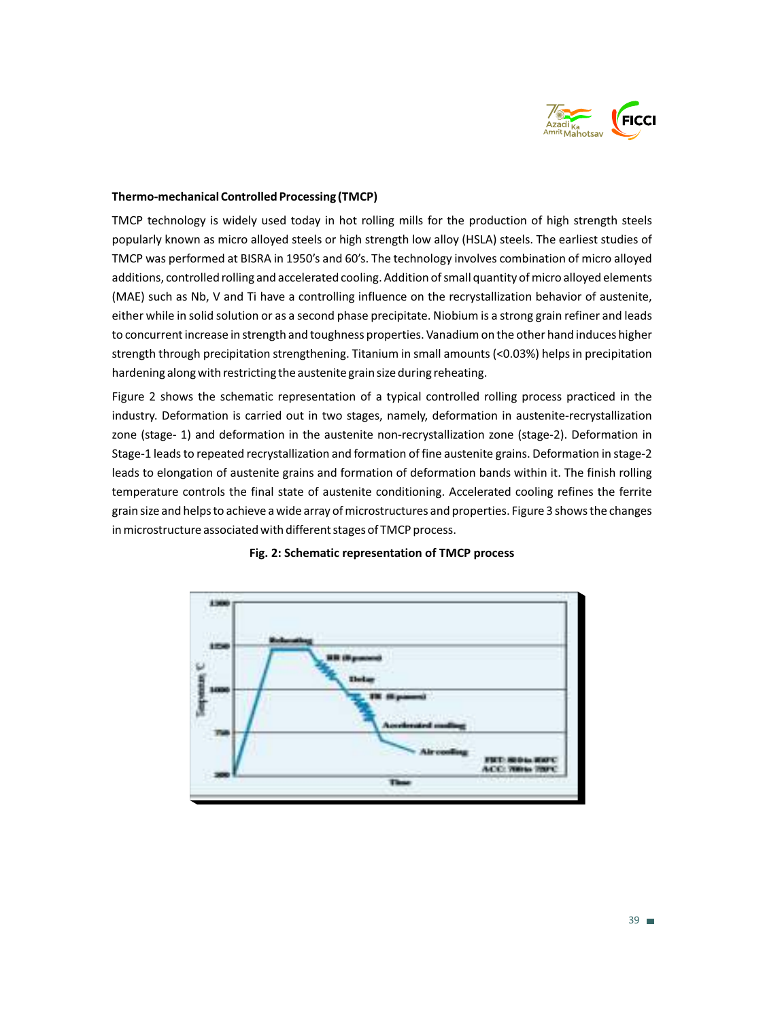

# **Thermo-mechanical Controlled Processing (TMCP)**

TMCP technology is widely used today in hot rolling mills for the production of high strength steels popularly known as micro alloyed steels or high strength low alloy (HSLA) steels. The earliest studies of TMCP was performed at BISRA in 1950's and 60's. The technology involves combination of micro alloyed additions, controlled rolling and accelerated cooling. Addition of small quantity of micro alloyed elements (MAE) such as Nb, V and Ti have a controlling influence on the recrystallization behavior of austenite, either while in solid solution or as a second phase precipitate. Niobium is a strong grain refiner and leads to concurrent increase in strength and toughness properties. Vanadium on the other hand induces higher strength through precipitation strengthening. Titanium in small amounts (<0.03%) helps in precipitation hardening along with restricting the austenite grain size during reheating.

Figure 2 shows the schematic representation of a typical controlled rolling process practiced in the industry. Deformation is carried out in two stages, namely, deformation in austenite-recrystallization zone (stage- 1) and deformation in the austenite non-recrystallization zone (stage-2). Deformation in Stage-1 leads to repeated recrystallization and formation of fine austenite grains. Deformation in stage-2 leads to elongation of austenite grains and formation of deformation bands within it. The finish rolling temperature controls the final state of austenite conditioning. Accelerated cooling refines the ferrite grain size and helps to achieve a wide array of microstructures and properties. Figure 3 shows the changes in microstructure associated with different stages of TMCP process.



# **Fig. 2: Schematic representation of TMCP process**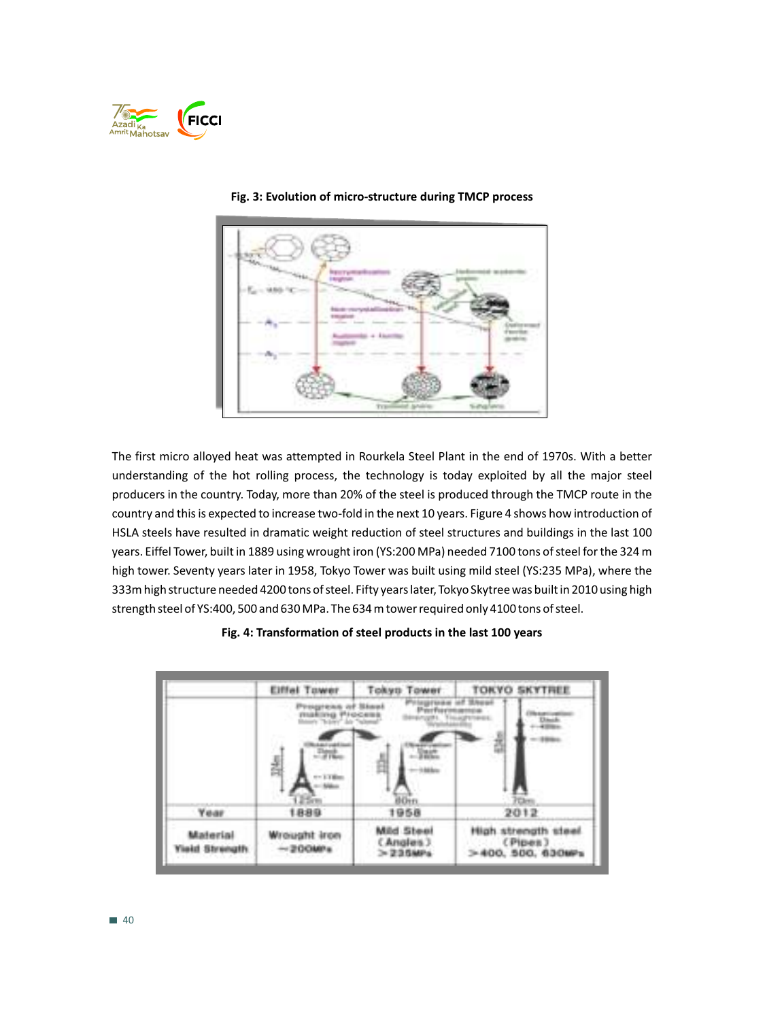



#### **Fig. 3: Evolution of micro-structure during TMCP process**

The first micro alloyed heat was attempted in Rourkela Steel Plant in the end of 1970s. With a better understanding of the hot rolling process, the technology is today exploited by all the major steel producers in the country. Today, more than 20% of the steel is produced through the TMCP route in the country and this is expected to increase two-fold in the next 10 years. Figure 4 shows how introduction of HSLA steels have resulted in dramatic weight reduction of steel structures and buildings in the last 100 years. Eiffel Tower, built in 1889 using wrought iron (YS:200 MPa) needed 7100 tons of steel for the 324 m high tower. Seventy years later in 1958, Tokyo Tower was built using mild steel (YS:235 MPa), where the 333m high structure needed 4200 tons of steel. Fifty years later, Tokyo Skytree was built in 2010 using high strength steel of YS:400, 500 and 630 MPa. The 634 m tower required only 4100 tons of steel.

#### **Fig. 4: Transformation of steel products in the last 100 years**

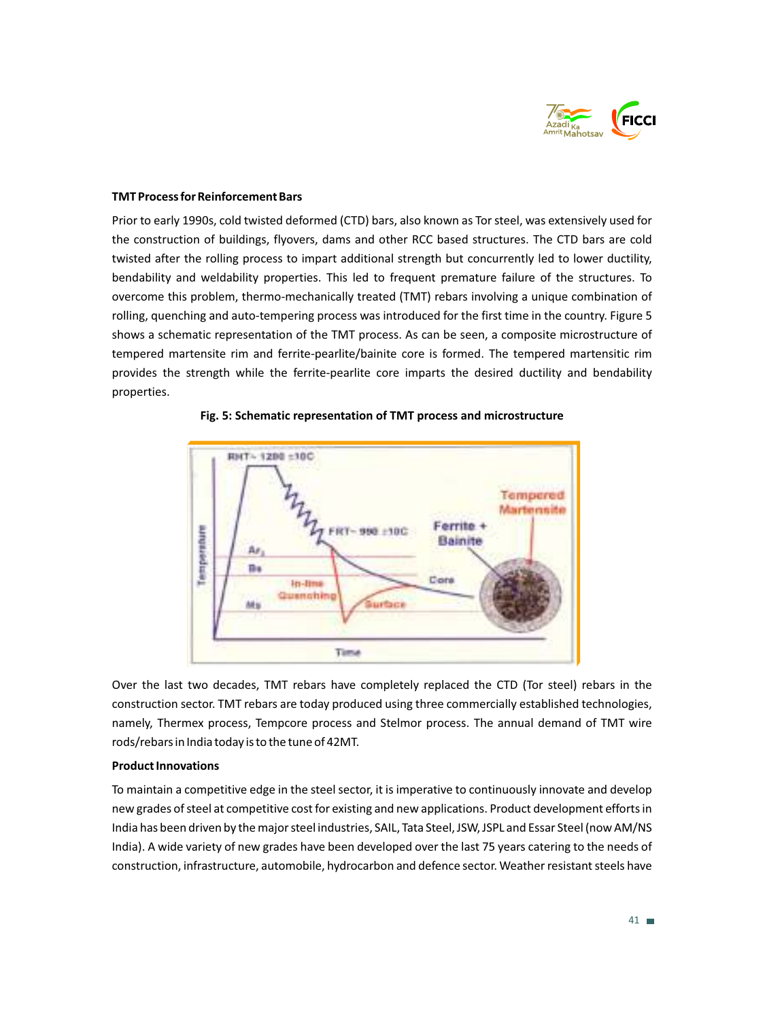

## **TMT Process for Reinforcement Bars**

Prior to early 1990s, cold twisted deformed (CTD) bars, also known as Tor steel, was extensively used for the construction of buildings, flyovers, dams and other RCC based structures. The CTD bars are cold twisted after the rolling process to impart additional strength but concurrently led to lower ductility, bendability and weldability properties. This led to frequent premature failure of the structures. To overcome this problem, thermo-mechanically treated (TMT) rebars involving a unique combination of rolling, quenching and auto-tempering process was introduced for the first time in the country. Figure 5 shows a schematic representation of the TMT process. As can be seen, a composite microstructure of tempered martensite rim and ferrite-pearlite/bainite core is formed. The tempered martensitic rim provides the strength while the ferrite-pearlite core imparts the desired ductility and bendability properties.



## **Fig. 5: Schematic representation of TMT process and microstructure**

Over the last two decades, TMT rebars have completely replaced the CTD (Tor steel) rebars in the construction sector. TMT rebars are today produced using three commercially established technologies, namely, Thermex process, Tempcore process and Stelmor process. The annual demand of TMT wire rods/rebars in India today is to the tune of 42MT.

## **Product Innovations**

To maintain a competitive edge in the steel sector, it is imperative to continuously innovate and develop new grades of steel at competitive cost for existing and new applications. Product development efforts in India has been driven by the major steel industries, SAIL, Tata Steel, JSW, JSPL and Essar Steel (now AM/NS India). A wide variety of new grades have been developed over the last 75 years catering to the needs of construction, infrastructure, automobile, hydrocarbon and defence sector. Weather resistant steels have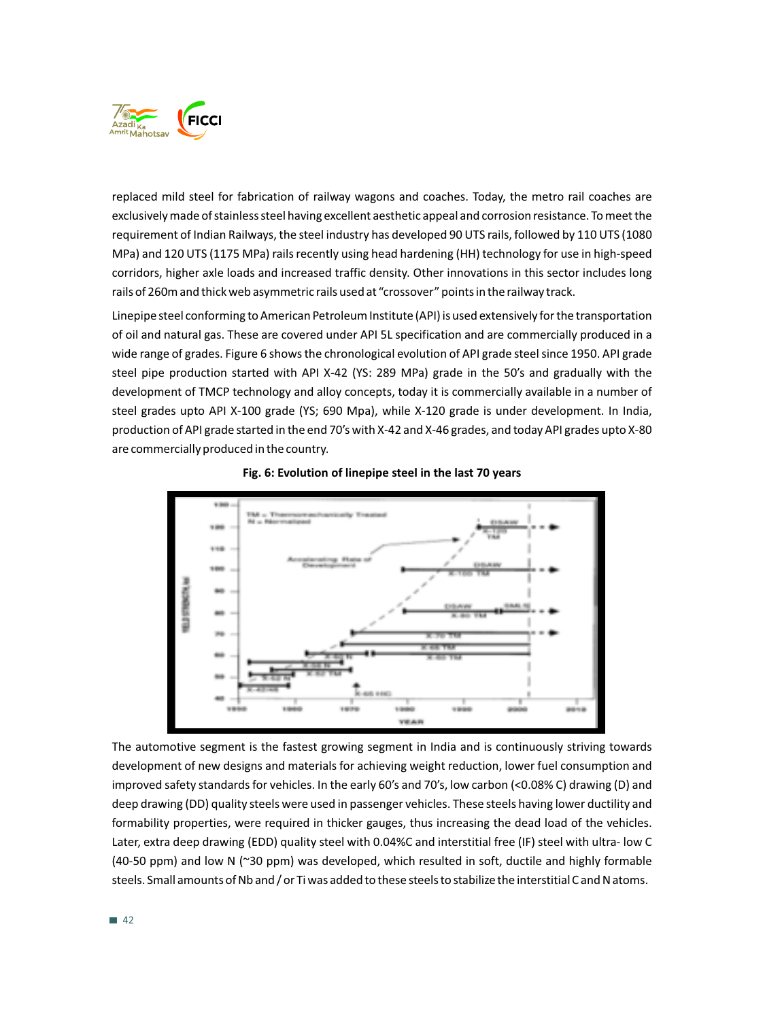

replaced mild steel for fabrication of railway wagons and coaches. Today, the metro rail coaches are exclusively made of stainless steel having excellent aesthetic appeal and corrosion resistance. To meet the requirement of Indian Railways, the steel industry has developed 90 UTS rails, followed by 110 UTS (1080 MPa) and 120 UTS (1175 MPa) rails recently using head hardening (HH) technology for use in high-speed corridors, higher axle loads and increased traffic density. Other innovations in this sector includes long rails of 260m and thick web asymmetric rails used at "crossover" points in the railway track.

Linepipe steel conforming to American Petroleum Institute (API) is used extensively for the transportation of oil and natural gas. These are covered under API 5L specification and are commercially produced in a wide range of grades. Figure 6 shows the chronological evolution of API grade steel since 1950. API grade steel pipe production started with API X-42 (YS: 289 MPa) grade in the 50's and gradually with the development of TMCP technology and alloy concepts, today it is commercially available in a number of steel grades upto API X-100 grade (YS; 690 Mpa), while X-120 grade is under development. In India, production of API grade started in the end 70's with X-42 and X-46 grades, and today API grades upto X-80 are commercially produced in the country.





The automotive segment is the fastest growing segment in India and is continuously striving towards development of new designs and materials for achieving weight reduction, lower fuel consumption and improved safety standards for vehicles. In the early 60's and 70's, low carbon (<0.08% C) drawing (D) and deep drawing (DD) quality steels were used in passenger vehicles. These steels having lower ductility and formability properties, were required in thicker gauges, thus increasing the dead load of the vehicles. Later, extra deep drawing (EDD) quality steel with 0.04%C and interstitial free (IF) steel with ultra- low C (40-50 ppm) and low N (~30 ppm) was developed, which resulted in soft, ductile and highly formable steels. Small amounts of Nb and / or Ti was added to these steels to stabilize the interstitial C and N atoms.